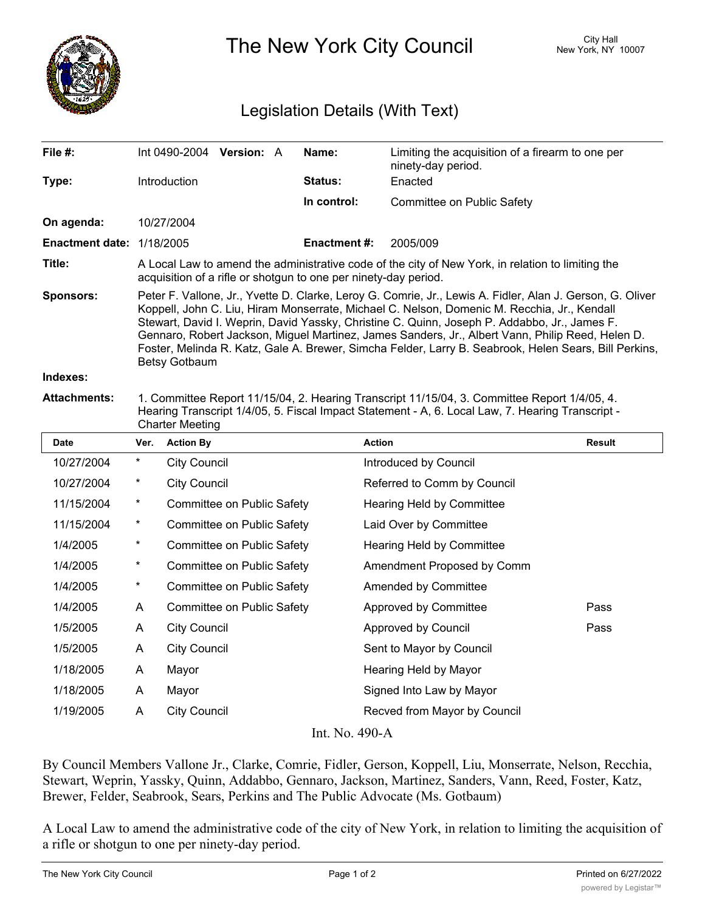

The New York City Council New York, NY 10007

# Legislation Details (With Text)

| File $#$ :                       | Int 0490-2004                                                                                                                                                                                                                                                                                                                                                                                                                                                                                                                          | <b>Version: A</b> |  | Name:          | Limiting the acquisition of a firearm to one per<br>ninety-day period. |  |  |
|----------------------------------|----------------------------------------------------------------------------------------------------------------------------------------------------------------------------------------------------------------------------------------------------------------------------------------------------------------------------------------------------------------------------------------------------------------------------------------------------------------------------------------------------------------------------------------|-------------------|--|----------------|------------------------------------------------------------------------|--|--|
| Type:                            | Introduction                                                                                                                                                                                                                                                                                                                                                                                                                                                                                                                           |                   |  | <b>Status:</b> | Enacted                                                                |  |  |
|                                  |                                                                                                                                                                                                                                                                                                                                                                                                                                                                                                                                        |                   |  | In control:    | Committee on Public Safety                                             |  |  |
| On agenda:                       | 10/27/2004                                                                                                                                                                                                                                                                                                                                                                                                                                                                                                                             |                   |  |                |                                                                        |  |  |
| <b>Enactment date: 1/18/2005</b> |                                                                                                                                                                                                                                                                                                                                                                                                                                                                                                                                        |                   |  | Enactment #:   | 2005/009                                                               |  |  |
| Title:                           | A Local Law to amend the administrative code of the city of New York, in relation to limiting the<br>acquisition of a rifle or shotgun to one per ninety-day period.                                                                                                                                                                                                                                                                                                                                                                   |                   |  |                |                                                                        |  |  |
| <b>Sponsors:</b>                 | Peter F. Vallone, Jr., Yvette D. Clarke, Leroy G. Comrie, Jr., Lewis A. Fidler, Alan J. Gerson, G. Oliver<br>Koppell, John C. Liu, Hiram Monserrate, Michael C. Nelson, Domenic M. Recchia, Jr., Kendall<br>Stewart, David I. Weprin, David Yassky, Christine C. Quinn, Joseph P. Addabbo, Jr., James F.<br>Gennaro, Robert Jackson, Miguel Martinez, James Sanders, Jr., Albert Vann, Philip Reed, Helen D.<br>Foster, Melinda R. Katz, Gale A. Brewer, Simcha Felder, Larry B. Seabrook, Helen Sears, Bill Perkins,<br>Betsy Gotbaum |                   |  |                |                                                                        |  |  |
| Indexes:                         |                                                                                                                                                                                                                                                                                                                                                                                                                                                                                                                                        |                   |  |                |                                                                        |  |  |
| <b>Attachments:</b>              | 1. Committee Report 11/15/04, 2. Hearing Transcript 11/15/04, 3. Committee Report 1/4/05, 4.                                                                                                                                                                                                                                                                                                                                                                                                                                           |                   |  |                |                                                                        |  |  |

## Hearing Transcript 1/4/05, 5. Fiscal Impact Statement - A, 6. Local Law, 7. Hearing Transcript - Charter Meeting

| Date                               | Ver.       | <b>Action By</b>           | <b>Action</b>                | <b>Result</b> |  |  |  |  |
|------------------------------------|------------|----------------------------|------------------------------|---------------|--|--|--|--|
| 10/27/2004                         | *          | <b>City Council</b>        | Introduced by Council        |               |  |  |  |  |
| 10/27/2004                         | $^\star$   | <b>City Council</b>        | Referred to Comm by Council  |               |  |  |  |  |
| 11/15/2004                         | $\star$    | Committee on Public Safety | Hearing Held by Committee    |               |  |  |  |  |
| 11/15/2004                         | $^{\star}$ | Committee on Public Safety | Laid Over by Committee       |               |  |  |  |  |
| 1/4/2005                           | $^{\star}$ | Committee on Public Safety | Hearing Held by Committee    |               |  |  |  |  |
| 1/4/2005                           | $^{\star}$ | Committee on Public Safety | Amendment Proposed by Comm   |               |  |  |  |  |
| 1/4/2005                           | $^\star$   | Committee on Public Safety | Amended by Committee         |               |  |  |  |  |
| 1/4/2005                           | A          | Committee on Public Safety | Approved by Committee        | Pass          |  |  |  |  |
| 1/5/2005                           | A          | <b>City Council</b>        | Approved by Council          | Pass          |  |  |  |  |
| 1/5/2005                           | A          | <b>City Council</b>        | Sent to Mayor by Council     |               |  |  |  |  |
| 1/18/2005                          | A          | Mayor                      | Hearing Held by Mayor        |               |  |  |  |  |
| 1/18/2005                          | A          | Mayor                      | Signed Into Law by Mayor     |               |  |  |  |  |
| 1/19/2005                          | A          | <b>City Council</b>        | Recved from Mayor by Council |               |  |  |  |  |
| $Int$ N <sub>o</sub> $400 \Lambda$ |            |                            |                              |               |  |  |  |  |

#### Int. No. 490-A

By Council Members Vallone Jr., Clarke, Comrie, Fidler, Gerson, Koppell, Liu, Monserrate, Nelson, Recchia, Stewart, Weprin, Yassky, Quinn, Addabbo, Gennaro, Jackson, Martinez, Sanders, Vann, Reed, Foster, Katz, Brewer, Felder, Seabrook, Sears, Perkins and The Public Advocate (Ms. Gotbaum)

A Local Law to amend the administrative code of the city of New York, in relation to limiting the acquisition of a rifle or shotgun to one per ninety-day period.